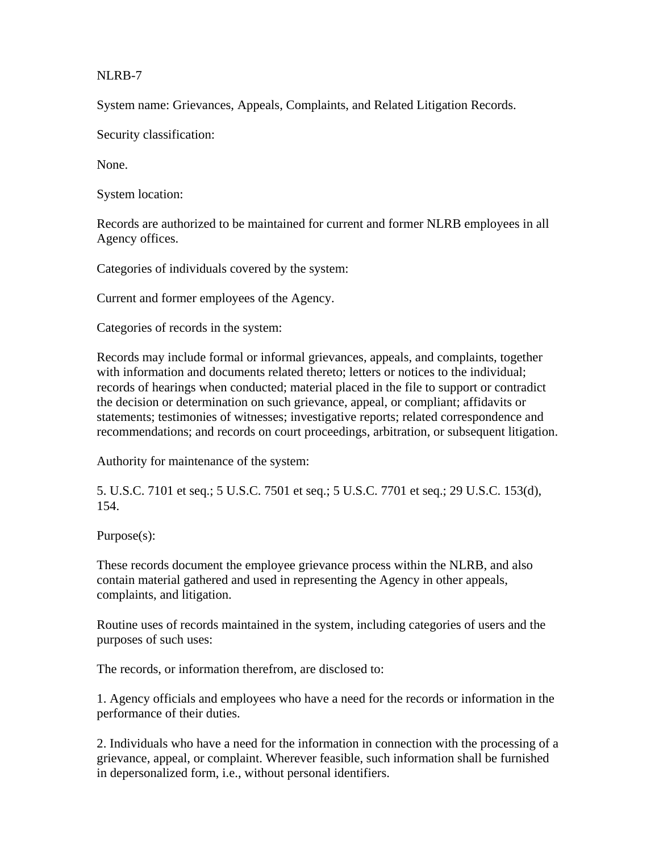NLRB-7

System name: Grievances, Appeals, Complaints, and Related Litigation Records.

Security classification:

None.

System location:

Records are authorized to be maintained for current and former NLRB employees in all Agency offices.

Categories of individuals covered by the system:

Current and former employees of the Agency.

Categories of records in the system:

Records may include formal or informal grievances, appeals, and complaints, together with information and documents related thereto; letters or notices to the individual; records of hearings when conducted; material placed in the file to support or contradict the decision or determination on such grievance, appeal, or compliant; affidavits or statements; testimonies of witnesses; investigative reports; related correspondence and recommendations; and records on court proceedings, arbitration, or subsequent litigation.

Authority for maintenance of the system:

5. U.S.C. 7101 et seq.; 5 U.S.C. 7501 et seq.; 5 U.S.C. 7701 et seq.; 29 U.S.C. 153(d), 154.

Purpose(s):

These records document the employee grievance process within the NLRB, and also contain material gathered and used in representing the Agency in other appeals, complaints, and litigation.

Routine uses of records maintained in the system, including categories of users and the purposes of such uses:

The records, or information therefrom, are disclosed to:

1. Agency officials and employees who have a need for the records or information in the performance of their duties.

2. Individuals who have a need for the information in connection with the processing of a grievance, appeal, or complaint. Wherever feasible, such information shall be furnished in depersonalized form, i.e., without personal identifiers.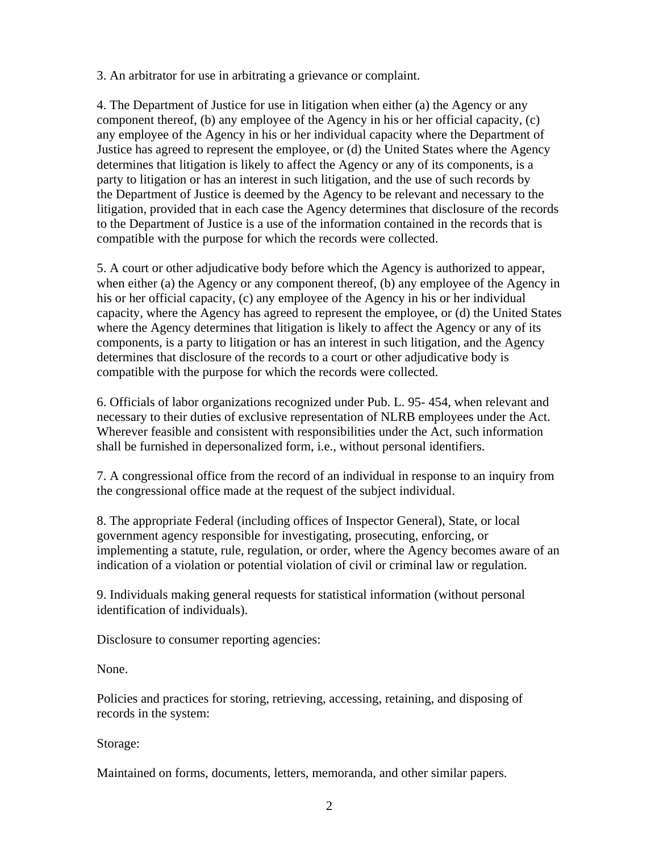3. An arbitrator for use in arbitrating a grievance or complaint.

4. The Department of Justice for use in litigation when either (a) the Agency or any component thereof, (b) any employee of the Agency in his or her official capacity, (c) any employee of the Agency in his or her individual capacity where the Department of Justice has agreed to represent the employee, or (d) the United States where the Agency determines that litigation is likely to affect the Agency or any of its components, is a party to litigation or has an interest in such litigation, and the use of such records by the Department of Justice is deemed by the Agency to be relevant and necessary to the litigation, provided that in each case the Agency determines that disclosure of the records to the Department of Justice is a use of the information contained in the records that is compatible with the purpose for which the records were collected.

5. A court or other adjudicative body before which the Agency is authorized to appear, when either (a) the Agency or any component thereof, (b) any employee of the Agency in his or her official capacity, (c) any employee of the Agency in his or her individual capacity, where the Agency has agreed to represent the employee, or (d) the United States where the Agency determines that litigation is likely to affect the Agency or any of its components, is a party to litigation or has an interest in such litigation, and the Agency determines that disclosure of the records to a court or other adjudicative body is compatible with the purpose for which the records were collected.

6. Officials of labor organizations recognized under Pub. L. 95- 454, when relevant and necessary to their duties of exclusive representation of NLRB employees under the Act. Wherever feasible and consistent with responsibilities under the Act, such information shall be furnished in depersonalized form, i.e., without personal identifiers.

7. A congressional office from the record of an individual in response to an inquiry from the congressional office made at the request of the subject individual.

8. The appropriate Federal (including offices of Inspector General), State, or local government agency responsible for investigating, prosecuting, enforcing, or implementing a statute, rule, regulation, or order, where the Agency becomes aware of an indication of a violation or potential violation of civil or criminal law or regulation.

9. Individuals making general requests for statistical information (without personal identification of individuals).

Disclosure to consumer reporting agencies:

None.

Policies and practices for storing, retrieving, accessing, retaining, and disposing of records in the system:

Storage:

Maintained on forms, documents, letters, memoranda, and other similar papers.